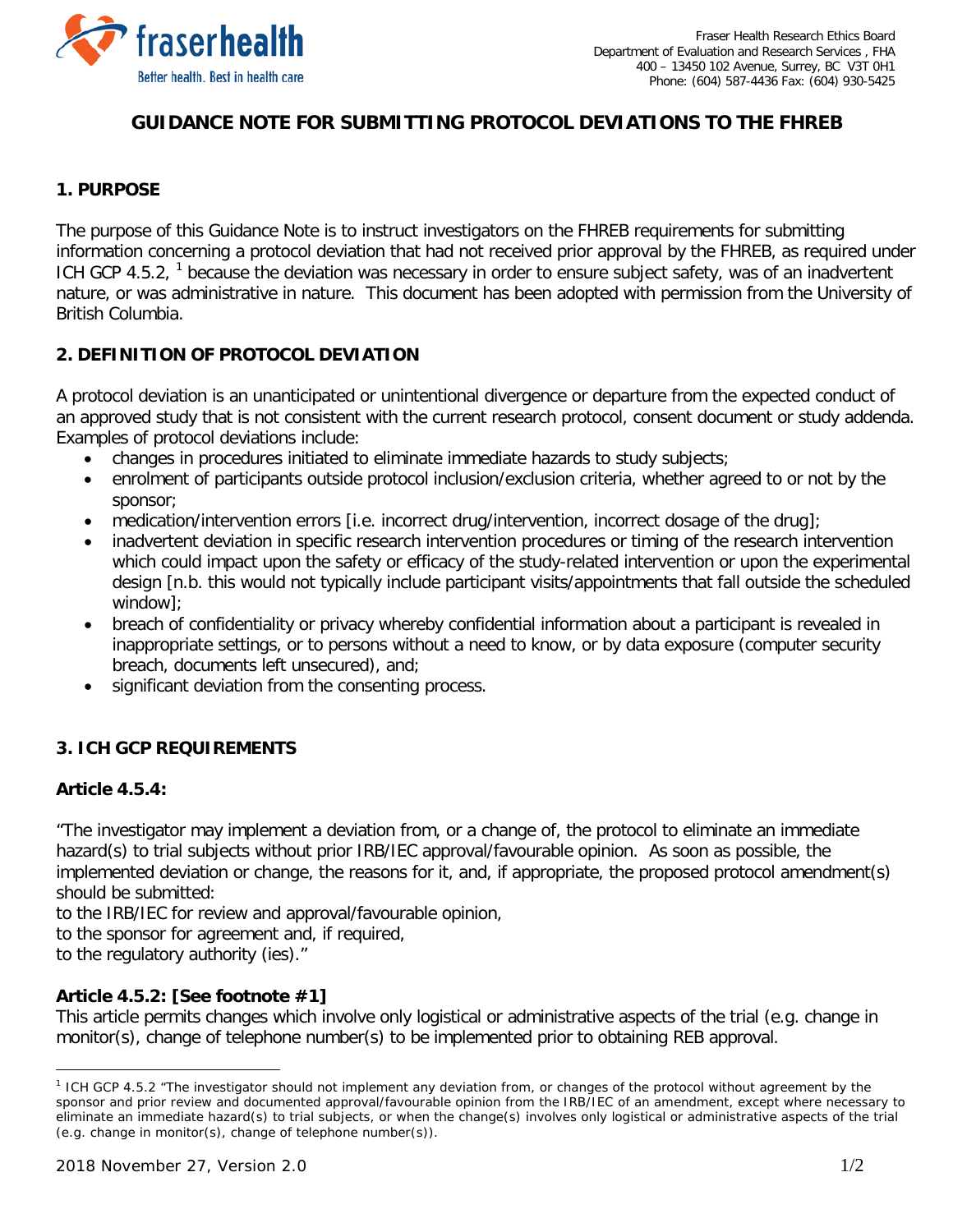

# **GUIDANCE NOTE FOR SUBMITTING PROTOCOL DEVIATIONS TO THE FHREB**

## **1. PURPOSE**

The purpose of this Guidance Note is to instruct investigators on the FHREB requirements for submitting information concerning a protocol deviation that had not received prior approval by the FHREB, as required under ICH GCP 4.5.2, <sup>[1](#page-0-0)</sup> because the deviation was necessary in order to ensure subject safety, was of an inadvertent nature, or was administrative in nature. This document has been adopted with permission from the University of British Columbia.

## **2. DEFINITION OF PROTOCOL DEVIATION**

A protocol deviation is an unanticipated or unintentional divergence or departure from the expected conduct of an approved study that is not consistent with the current research protocol, consent document or study addenda. Examples of protocol deviations include:

- changes in procedures initiated to eliminate immediate hazards to study subjects;
- enrolment of participants outside protocol inclusion/exclusion criteria, whether agreed to or not by the sponsor;
- medication/intervention errors [i.e. incorrect drug/intervention, incorrect dosage of the drug];
- inadvertent deviation in specific research intervention procedures or timing of the research intervention which could impact upon the safety or efficacy of the study-related intervention or upon the experimental design [n.b. this would not typically include participant visits/appointments that fall outside the scheduled window];
- breach of confidentiality or privacy whereby confidential information about a participant is revealed in inappropriate settings, or to persons without a need to know, or by data exposure (computer security breach, documents left unsecured), and;
- significant deviation from the consenting process.

### **3. ICH GCP REQUIREMENTS**

#### **Article 4.5.4:**

 $\overline{a}$ 

"The investigator may implement a deviation from, or a change of, the protocol to eliminate an immediate hazard(s) to trial subjects without prior IRB/IEC approval/favourable opinion. As soon as possible, the implemented deviation or change, the reasons for it, and, if appropriate, the proposed protocol amendment(s) should be submitted:

to the IRB/IEC for review and approval/favourable opinion,

to the sponsor for agreement and, if required,

to the regulatory authority (ies)."

### **Article 4.5.2: [See footnote #1]**

This article permits changes which involve only logistical or administrative aspects of the trial (e.g. change in monitor(s), change of telephone number(s) to be implemented prior to obtaining REB approval.

<span id="page-0-0"></span><sup>1</sup> ICH GCP 4.5.2 "The investigator should not implement any deviation from, or changes of the protocol without agreement by the sponsor and prior review and documented approval/favourable opinion from the IRB/IEC of an amendment, except where necessary to eliminate an immediate hazard(s) to trial subjects, or when the change(s) involves only logistical or administrative aspects of the trial (e.g. change in monitor(s), change of telephone number(s)).